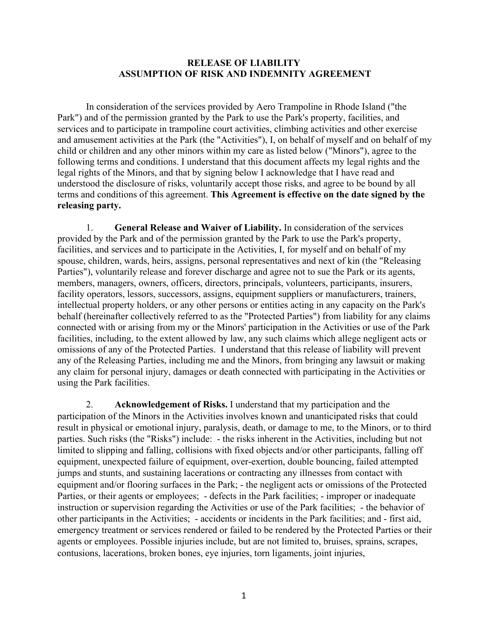## **RELEASE OF LIABILITY ASSUMPTION OF RISK AND INDEMNITY AGREEMENT**

In consideration of the services provided by Aero Trampoline in Rhode Island ("the Park") and of the permission granted by the Park to use the Park's property, facilities, and services and to participate in trampoline court activities, climbing activities and other exercise and amusement activities at the Park (the "Activities"), I, on behalf of myself and on behalf of my child or children and any other minors within my care as listed below ("Minors"), agree to the following terms and conditions. I understand that this document affects my legal rights and the legal rights of the Minors, and that by signing below I acknowledge that I have read and understood the disclosure of risks, voluntarily accept those risks, and agree to be bound by all terms and conditions of this agreement. **This Agreement is effective on the date signed by the releasing party.** 

1. **General Release and Waiver of Liability.** In consideration of the services provided by the Park and of the permission granted by the Park to use the Park's property, facilities, and services and to participate in the Activities, I, for myself and on behalf of my spouse, children, wards, heirs, assigns, personal representatives and next of kin (the "Releasing Parties"), voluntarily release and forever discharge and agree not to sue the Park or its agents, members, managers, owners, officers, directors, principals, volunteers, participants, insurers, facility operators, lessors, successors, assigns, equipment suppliers or manufacturers, trainers, intellectual property holders, or any other persons or entities acting in any capacity on the Park's behalf (hereinafter collectively referred to as the "Protected Parties") from liability for any claims connected with or arising from my or the Minors' participation in the Activities or use of the Park facilities, including, to the extent allowed by law, any such claims which allege negligent acts or omissions of any of the Protected Parties. I understand that this release of liability will prevent any of the Releasing Parties, including me and the Minors, from bringing any lawsuit or making any claim for personal injury, damages or death connected with participating in the Activities or using the Park facilities.

2. **Acknowledgement of Risks.** I understand that my participation and the participation of the Minors in the Activities involves known and unanticipated risks that could result in physical or emotional injury, paralysis, death, or damage to me, to the Minors, or to third parties. Such risks (the "Risks") include: - the risks inherent in the Activities, including but not limited to slipping and falling, collisions with fixed objects and/or other participants, falling off equipment, unexpected failure of equipment, over-exertion, double bouncing, failed attempted jumps and stunts, and sustaining lacerations or contracting any illnesses from contact with equipment and/or flooring surfaces in the Park; - the negligent acts or omissions of the Protected Parties, or their agents or employees; - defects in the Park facilities; - improper or inadequate instruction or supervision regarding the Activities or use of the Park facilities; - the behavior of other participants in the Activities; - accidents or incidents in the Park facilities; and - first aid, emergency treatment or services rendered or failed to be rendered by the Protected Parties or their agents or employees. Possible injuries include, but are not limited to, bruises, sprains, scrapes, contusions, lacerations, broken bones, eye injuries, torn ligaments, joint injuries,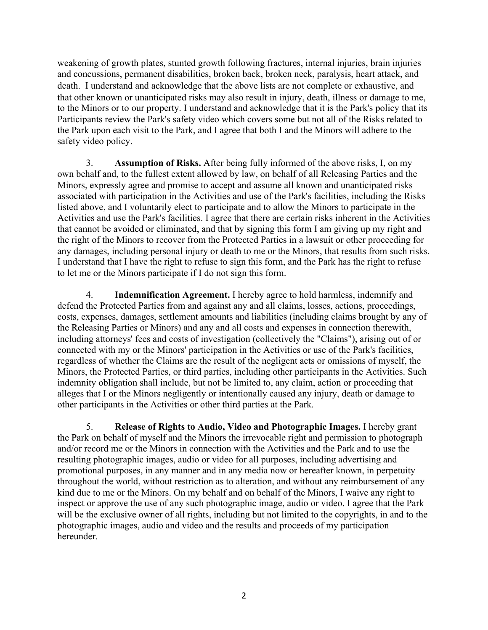weakening of growth plates, stunted growth following fractures, internal injuries, brain injuries and concussions, permanent disabilities, broken back, broken neck, paralysis, heart attack, and death. I understand and acknowledge that the above lists are not complete or exhaustive, and that other known or unanticipated risks may also result in injury, death, illness or damage to me, to the Minors or to our property. I understand and acknowledge that it is the Park's policy that its Participants review the Park's safety video which covers some but not all of the Risks related to the Park upon each visit to the Park, and I agree that both I and the Minors will adhere to the safety video policy.

3. **Assumption of Risks.** After being fully informed of the above risks, I, on my own behalf and, to the fullest extent allowed by law, on behalf of all Releasing Parties and the Minors, expressly agree and promise to accept and assume all known and unanticipated risks associated with participation in the Activities and use of the Park's facilities, including the Risks listed above, and I voluntarily elect to participate and to allow the Minors to participate in the Activities and use the Park's facilities. I agree that there are certain risks inherent in the Activities that cannot be avoided or eliminated, and that by signing this form I am giving up my right and the right of the Minors to recover from the Protected Parties in a lawsuit or other proceeding for any damages, including personal injury or death to me or the Minors, that results from such risks. I understand that I have the right to refuse to sign this form, and the Park has the right to refuse to let me or the Minors participate if I do not sign this form.

4. **Indemnification Agreement.** I hereby agree to hold harmless, indemnify and defend the Protected Parties from and against any and all claims, losses, actions, proceedings, costs, expenses, damages, settlement amounts and liabilities (including claims brought by any of the Releasing Parties or Minors) and any and all costs and expenses in connection therewith, including attorneys' fees and costs of investigation (collectively the "Claims"), arising out of or connected with my or the Minors' participation in the Activities or use of the Park's facilities, regardless of whether the Claims are the result of the negligent acts or omissions of myself, the Minors, the Protected Parties, or third parties, including other participants in the Activities. Such indemnity obligation shall include, but not be limited to, any claim, action or proceeding that alleges that I or the Minors negligently or intentionally caused any injury, death or damage to other participants in the Activities or other third parties at the Park.

5. **Release of Rights to Audio, Video and Photographic Images.** I hereby grant the Park on behalf of myself and the Minors the irrevocable right and permission to photograph and/or record me or the Minors in connection with the Activities and the Park and to use the resulting photographic images, audio or video for all purposes, including advertising and promotional purposes, in any manner and in any media now or hereafter known, in perpetuity throughout the world, without restriction as to alteration, and without any reimbursement of any kind due to me or the Minors. On my behalf and on behalf of the Minors, I waive any right to inspect or approve the use of any such photographic image, audio or video. I agree that the Park will be the exclusive owner of all rights, including but not limited to the copyrights, in and to the photographic images, audio and video and the results and proceeds of my participation hereunder.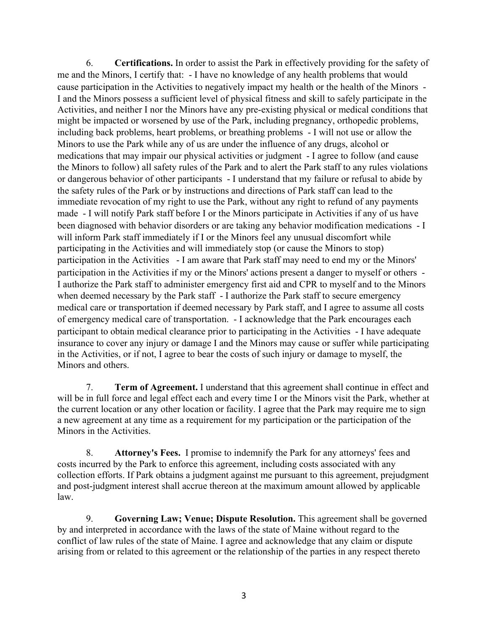6. **Certifications.** In order to assist the Park in effectively providing for the safety of me and the Minors, I certify that: - I have no knowledge of any health problems that would cause participation in the Activities to negatively impact my health or the health of the Minors - I and the Minors possess a sufficient level of physical fitness and skill to safely participate in the Activities, and neither I nor the Minors have any pre-existing physical or medical conditions that might be impacted or worsened by use of the Park, including pregnancy, orthopedic problems, including back problems, heart problems, or breathing problems - I will not use or allow the Minors to use the Park while any of us are under the influence of any drugs, alcohol or medications that may impair our physical activities or judgment - I agree to follow (and cause the Minors to follow) all safety rules of the Park and to alert the Park staff to any rules violations or dangerous behavior of other participants - I understand that my failure or refusal to abide by the safety rules of the Park or by instructions and directions of Park staff can lead to the immediate revocation of my right to use the Park, without any right to refund of any payments made - I will notify Park staff before I or the Minors participate in Activities if any of us have been diagnosed with behavior disorders or are taking any behavior modification medications - I will inform Park staff immediately if I or the Minors feel any unusual discomfort while participating in the Activities and will immediately stop (or cause the Minors to stop) participation in the Activities - I am aware that Park staff may need to end my or the Minors' participation in the Activities if my or the Minors' actions present a danger to myself or others - I authorize the Park staff to administer emergency first aid and CPR to myself and to the Minors when deemed necessary by the Park staff - I authorize the Park staff to secure emergency medical care or transportation if deemed necessary by Park staff, and I agree to assume all costs of emergency medical care of transportation. - I acknowledge that the Park encourages each participant to obtain medical clearance prior to participating in the Activities - I have adequate insurance to cover any injury or damage I and the Minors may cause or suffer while participating in the Activities, or if not, I agree to bear the costs of such injury or damage to myself, the Minors and others.

7. **Term of Agreement.** I understand that this agreement shall continue in effect and will be in full force and legal effect each and every time I or the Minors visit the Park, whether at the current location or any other location or facility. I agree that the Park may require me to sign a new agreement at any time as a requirement for my participation or the participation of the Minors in the Activities.

8. **Attorney's Fees.** I promise to indemnify the Park for any attorneys' fees and costs incurred by the Park to enforce this agreement, including costs associated with any collection efforts. If Park obtains a judgment against me pursuant to this agreement, prejudgment and post-judgment interest shall accrue thereon at the maximum amount allowed by applicable law.

9. **Governing Law; Venue; Dispute Resolution.** This agreement shall be governed by and interpreted in accordance with the laws of the state of Maine without regard to the conflict of law rules of the state of Maine. I agree and acknowledge that any claim or dispute arising from or related to this agreement or the relationship of the parties in any respect thereto